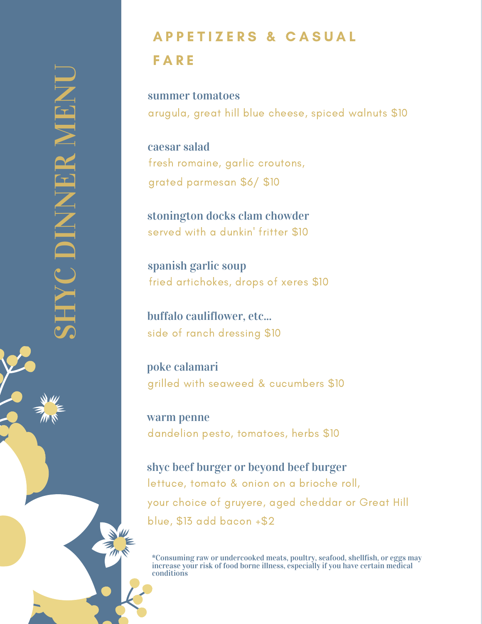## A P P E T I Z E R S & C A S U A L

## F A R E

arugula, great hill blue cheese, spiced walnuts \$10 summer tomatoes

pa  $\overline{\phantom{a}}$ san \$6/ \$ e, garlic crou encem emnn<br>fresh romaine, garlic croutons, grated parmesan \$6/ \$10 caesar salad

WIT<br>T with a dunkin' gton de stonington docks clam chowder stormigton docks clain chowder<br>served with a dunkin' fritter \$10

spanish garlic soup es, drops of : fried artichokes, drops of xeres \$10

buffalo cauliflower, etc... side of ranch dressing \$10

grilled with seaweed & cucumbers \$10 poke calamari

dandelion pesto, tomatoes, herbs \$10 warm penne

lettuce, tomato & onion on a brioche roll, your choice of gruyere, aged cheddar or Great Hill blue, \$13 add bacon +\$2 shyc beef burger or beyond beef burger

\*Consuming raw or undercooked meats, poultry, seafood, shellfish, or eggs may increase your risk of food borne illness, especially if you have certain medical conditions